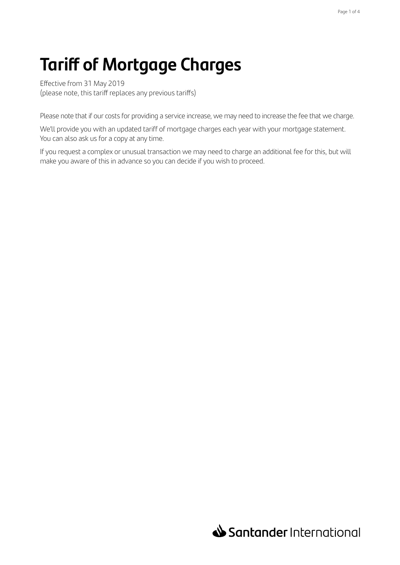# **Tariff of Mortgage Charges**

Effective from 31 May 2019 (please note, this tariff replaces any previous tariffs)

Please note that if our costs for providing a service increase, we may need to increase the fee that we charge.

We'll provide you with an updated tariff of mortgage charges each year with your mortgage statement. You can also ask us for a copy at any time.

If you request a complex or unusual transaction we may need to charge an additional fee for this, but will make you aware of this in advance so you can decide if you wish to proceed.

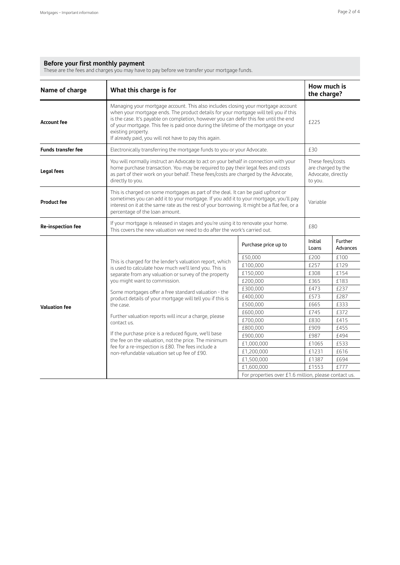#### **Before your first monthly payment**

These are the fees and charges you may have to pay before we transfer your mortgage funds.

| Name of charge            | What this charge is for                                                                                                                                                                                                                                                                                                                                                                                                                 |                                                                         | How much is<br>the charge? |                     |  |
|---------------------------|-----------------------------------------------------------------------------------------------------------------------------------------------------------------------------------------------------------------------------------------------------------------------------------------------------------------------------------------------------------------------------------------------------------------------------------------|-------------------------------------------------------------------------|----------------------------|---------------------|--|
| <b>Account fee</b>        | Managing your mortgage account. This also includes closing your mortgage account<br>when your mortgage ends. The product details for your mortgage will tell you if this<br>is the case. It's payable on completion, however you can defer this fee until the end<br>of your mortgage. This fee is paid once during the lifetime of the mortgage on your<br>existing property.<br>If already paid, you will not have to pay this again. | £225                                                                    |                            |                     |  |
| <b>Funds transfer fee</b> | Electronically transferring the mortgage funds to you or your Advocate.                                                                                                                                                                                                                                                                                                                                                                 | £30                                                                     |                            |                     |  |
| <b>Legal fees</b>         | You will normally instruct an Advocate to act on your behalf in connection with your<br>home purchase transaction. You may be required to pay their legal fees and costs<br>as part of their work on your behalf. These fees/costs are charged by the Advocate,<br>directly to you.                                                                                                                                                     | These fees/costs<br>are charged by the<br>Advocate, directly<br>to you. |                            |                     |  |
| <b>Product fee</b>        | This is charged on some mortgages as part of the deal. It can be paid upfront or<br>sometimes you can add it to your mortgage. If you add it to your mortgage, you'll pay<br>interest on it at the same rate as the rest of your borrowing. It might be a flat fee, or a<br>percentage of the loan amount.                                                                                                                              | Variable                                                                |                            |                     |  |
| Re-inspection fee         | If your mortgage is released in stages and you're using it to renovate your home.<br>This covers the new valuation we need to do after the work's carried out.                                                                                                                                                                                                                                                                          |                                                                         |                            | £80                 |  |
|                           |                                                                                                                                                                                                                                                                                                                                                                                                                                         | Purchase price up to                                                    | Initial<br>Loans           | Further<br>Advances |  |
|                           |                                                                                                                                                                                                                                                                                                                                                                                                                                         | £50.000                                                                 | £200                       | £100                |  |
|                           | This is charged for the lender's valuation report, which<br>is used to calculate how much we'll lend you. This is                                                                                                                                                                                                                                                                                                                       | £100,000                                                                | £257                       | £129                |  |
|                           | separate from any valuation or survey of the property                                                                                                                                                                                                                                                                                                                                                                                   | £150,000                                                                | £308                       | £154                |  |
|                           | you might want to commission.                                                                                                                                                                                                                                                                                                                                                                                                           | £200,000                                                                | £365                       | £183                |  |
|                           |                                                                                                                                                                                                                                                                                                                                                                                                                                         | £300,000                                                                | £473                       | £237                |  |
|                           | Some mortgages offer a free standard valuation - the<br>product details of your mortgage will tell you if this is                                                                                                                                                                                                                                                                                                                       | £400,000                                                                | £573                       | £287                |  |
| <b>Valuation fee</b>      | the case.                                                                                                                                                                                                                                                                                                                                                                                                                               | £500,000                                                                | £665                       | £333                |  |
|                           |                                                                                                                                                                                                                                                                                                                                                                                                                                         | £600,000                                                                | £745                       | £372                |  |
|                           | Further valuation reports will incur a charge, please<br>contact us.                                                                                                                                                                                                                                                                                                                                                                    | £700,000                                                                | £830                       | £415                |  |
|                           |                                                                                                                                                                                                                                                                                                                                                                                                                                         | £800,000                                                                | £909                       | £455                |  |
|                           | If the purchase price is a reduced figure, we'll base                                                                                                                                                                                                                                                                                                                                                                                   | £900,000                                                                | £987                       | £494                |  |
|                           | the fee on the valuation, not the price. The minimum<br>fee for a re-inspection is £80. The fees include a                                                                                                                                                                                                                                                                                                                              | £1,000,000                                                              | £1065                      | £533                |  |
|                           | non-refundable valuation set up fee of £90.                                                                                                                                                                                                                                                                                                                                                                                             | £1,200,000                                                              | £1231                      | £616                |  |
|                           |                                                                                                                                                                                                                                                                                                                                                                                                                                         | £1,500,000                                                              | £1387                      | £694                |  |
|                           |                                                                                                                                                                                                                                                                                                                                                                                                                                         | £1553<br>£1,600,000                                                     |                            |                     |  |
|                           |                                                                                                                                                                                                                                                                                                                                                                                                                                         | For properties over £1.6 million, please contact us.                    |                            |                     |  |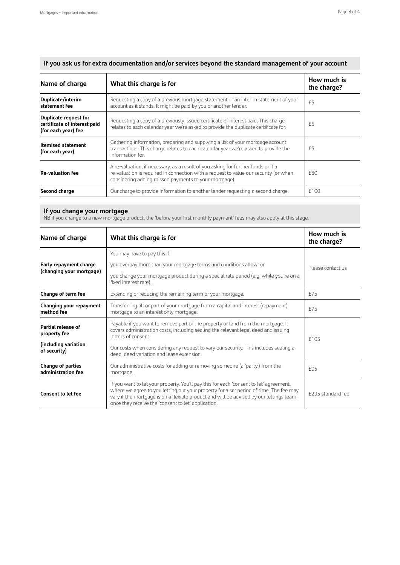| Page 3 of 4 |  |  |  |
|-------------|--|--|--|
|-------------|--|--|--|

| If you ask us for extra documentation and/or services beyond the standard management of your account |  |  |  |  |  |  |  |  |  |  |  |  |
|------------------------------------------------------------------------------------------------------|--|--|--|--|--|--|--|--|--|--|--|--|
|------------------------------------------------------------------------------------------------------|--|--|--|--|--|--|--|--|--|--|--|--|

| Name of charge                                                               | What this charge is for                                                                                                                                                                                                            | How much is<br>the charge? |
|------------------------------------------------------------------------------|------------------------------------------------------------------------------------------------------------------------------------------------------------------------------------------------------------------------------------|----------------------------|
| Duplicate/interim<br>statement fee                                           | Requesting a copy of a previous mortgage statement or an interim statement of your<br>account as it stands. It might be paid by you or another lender.                                                                             | f5                         |
| Duplicate request for<br>certificate of interest paid<br>(for each year) fee | Requesting a copy of a previously issued certificate of interest paid. This charge<br>relates to each calendar year we're asked to provide the duplicate certificate for.                                                          | f5                         |
| <b>Itemised statement</b><br>(for each year)                                 | Gathering information, preparing and supplying a list of your mortgage account<br>transactions. This charge relates to each calendar year we're asked to provide the<br>information for.                                           | £5                         |
| <b>Re-valuation fee</b>                                                      | A re-valuation, if necessary, as a result of you asking for further funds or if a<br>re-valuation is required in connection with a request to value our security (or when<br>considering adding missed payments to your mortgage). | f80                        |
| Second charge                                                                | Our charge to provide information to another lender requesting a second charge.                                                                                                                                                    | £100                       |

#### **If you change your mortgage**

NB if you change to a new mortgage product, the 'before your first monthly payment' fees may also apply at this stage.

| Name of charge                                                                                                                                                                                                                                                                                                                                                | What this charge is for                                                                                                            | How much is<br>the charge? |  |
|---------------------------------------------------------------------------------------------------------------------------------------------------------------------------------------------------------------------------------------------------------------------------------------------------------------------------------------------------------------|------------------------------------------------------------------------------------------------------------------------------------|----------------------------|--|
|                                                                                                                                                                                                                                                                                                                                                               | You may have to pay this if:                                                                                                       |                            |  |
| Early repayment charge                                                                                                                                                                                                                                                                                                                                        | you overpay more than your mortgage terms and conditions allow; or                                                                 | Please contact us          |  |
| (changing your mortgage)                                                                                                                                                                                                                                                                                                                                      | you change your mortgage product during a special rate period (e.g. while you're on a<br>fixed interest rate).                     |                            |  |
| Change of term fee                                                                                                                                                                                                                                                                                                                                            | Extending or reducing the remaining term of your mortgage.                                                                         | £75                        |  |
| Changing your repayment<br>method fee                                                                                                                                                                                                                                                                                                                         | Transferring all or part of your mortgage from a capital and interest (repayment)<br>f75<br>mortgage to an interest only mortgage. |                            |  |
| Payable if you want to remove part of the property or land from the mortgage. It<br>Partial release of<br>covers administration costs, including sealing the relevant legal deed and issuing<br>property fee<br>letters of consent.                                                                                                                           |                                                                                                                                    | f 105                      |  |
| (including variation<br>of security)                                                                                                                                                                                                                                                                                                                          | Our costs when considering any request to vary our security. This includes sealing a<br>deed, deed variation and lease extension.  |                            |  |
| Change of parties<br>administration fee                                                                                                                                                                                                                                                                                                                       | Our administrative costs for adding or removing someone (a 'party') from the<br>mortgage.                                          | f95                        |  |
| If you want to let your property. You'll pay this for each 'consent to let' agreement,<br>where we agree to you letting out your property for a set period of time. The fee may<br><b>Consent to let fee</b><br>vary if the mortgage is on a flexible product and will be advised by our lettings team<br>once they receive the 'consent to let' application. |                                                                                                                                    | £295 standard fee          |  |